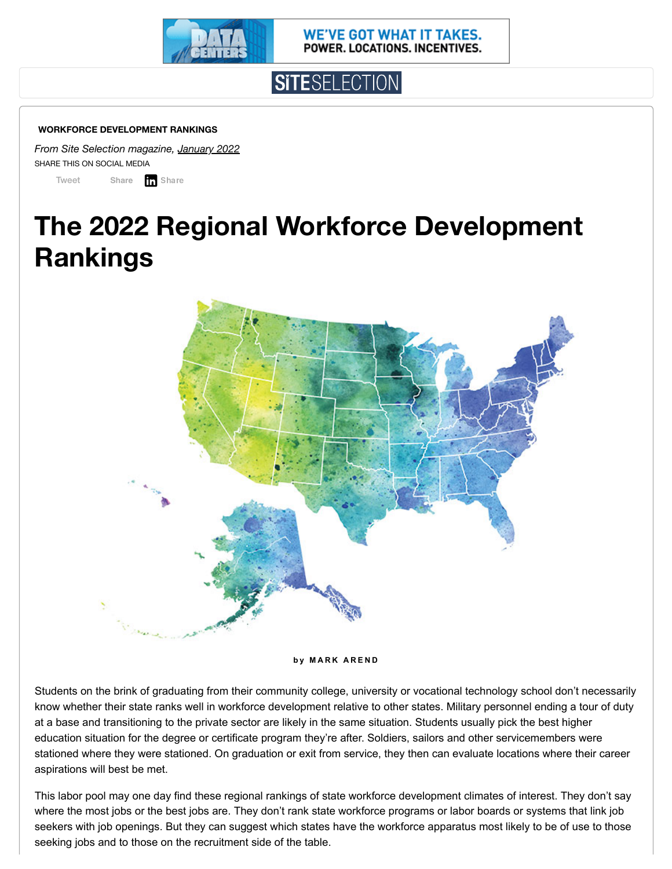

WE'VE GOT WHAT IT TAKES. POWER. LOCATIONS. INCENTIVES.



#### **WORKFORCE DEVELOPMENT RANKINGS**

*From Site Selection magazine, [January](https://siteselection.com/issues/2022/jan/index.cfm) 2022* SHARE THIS ON SOCIAL MEDIA

[Tweet](https://twitter.com/intent/tweet?original_referer=https%3A%2F%2Fsiteselection.com%2F&ref_src=twsrc%5Etfw%7Ctwcamp%5Ebuttonembed%7Ctwterm%5Eshare%7Ctwgr%5E&text=Workforce%20Development%20Rankings%3A%20The%202022%20Regional%20Workforce%20Development%20Rankings%20%7C%20Site%20Selection%20Magazine&url=https%3A%2F%2Fsiteselection.com%2Fissues%2F2022%2Fjan%2Fworkforce-development-rankings-2022.cfm) **[Share](https://www.facebook.com/sharer/sharer.php?kid_directed_site=0&sdk=joey&u=https%3A%2F%2Fsiteselection.com%2Fissues%2F2022%2Fjan%2Fworkforce-development-rankings-2022.cfm&display=popup&ref=plugin&src=share_button) T** Share

# **The 2022 Regional Workforce Development Rankings**



**b y M A R K A R E N D**

Students on the brink of graduating from their community college, university or vocational technology school don't necessarily know whether their state ranks well in workforce development relative to other states. Military personnel ending a tour of duty at a base and transitioning to the private sector are likely in the same situation. Students usually pick the best higher education situation for the degree or certificate program they're after. Soldiers, sailors and other servicemembers were stationed where they were stationed. On graduation or exit from service, they then can evaluate locations where their career aspirations will best be met.

This labor pool may one day find these regional rankings of state workforce development climates of interest. They don't say where the most jobs or the best jobs are. They don't rank state workforce programs or labor boards or systems that link job seekers with job openings. But they can suggest which states have the workforce apparatus most likely to be of use to those seeking jobs and to those on the recruitment side of the table.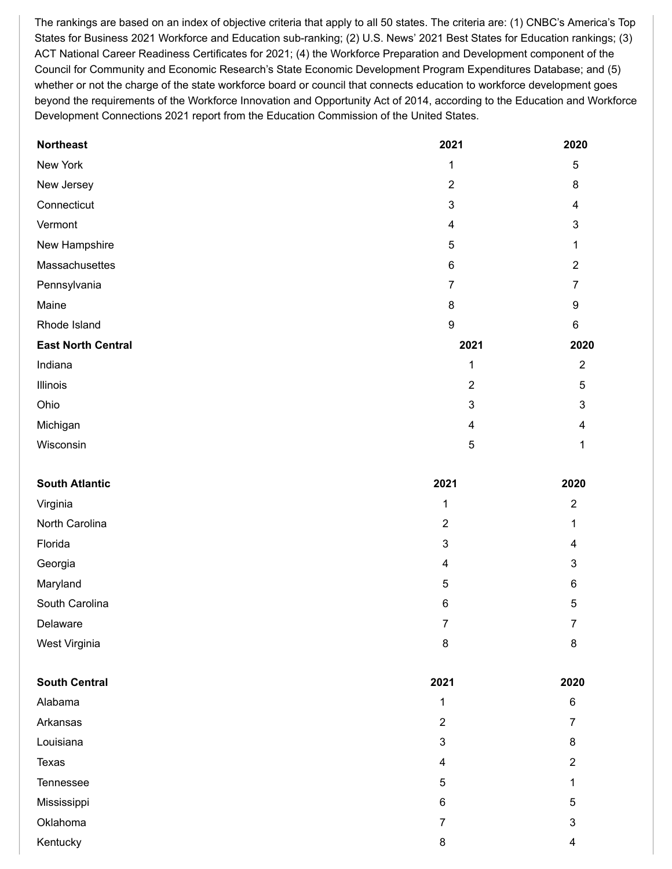The rankings are based on an index of objective criteria that apply to all 50 states. The criteria are: (1) CNBC's America's Top States for Business 2021 Workforce and Education sub-ranking; (2) U.S. News' 2021 Best States for Education rankings; (3) ACT National Career Readiness Certificates for 2021; (4) the Workforce Preparation and Development component of the Council for Community and Economic Research's State Economic Development Program Expenditures Database; and (5) whether or not the charge of the state workforce board or council that connects education to workforce development goes beyond the requirements of the Workforce Innovation and Opportunity Act of 2014, according to the Education and Workforce Development Connections 2021 report from the Education Commission of the United States.

| <b>Northeast</b>          | 2021                      | 2020                    |
|---------------------------|---------------------------|-------------------------|
| New York                  | 1                         | 5                       |
| New Jersey                | $\sqrt{2}$                | 8                       |
| Connecticut               | $\mathsf 3$               | $\overline{\mathbf{4}}$ |
| Vermont                   | $\overline{\mathbf{4}}$   | 3                       |
| New Hampshire             | $\sqrt{5}$                | 1                       |
| Massachusettes            | $\,6\,$                   | $\overline{2}$          |
| Pennsylvania              | $\overline{7}$            | $\overline{7}$          |
| Maine                     | $\bf 8$                   | 9                       |
| Rhode Island              | $\boldsymbol{9}$          | 6                       |
| <b>East North Central</b> | 2021                      | 2020                    |
| Indiana                   | 1                         | $\sqrt{2}$              |
| Illinois                  | $\overline{2}$            | $\sqrt{5}$              |
| Ohio                      | 3                         | 3                       |
| Michigan                  | $\overline{\mathbf{4}}$   | 4                       |
| Wisconsin                 | 5                         | 1                       |
|                           |                           |                         |
| <b>South Atlantic</b>     | 2021                      | 2020                    |
| Virginia                  | 1                         | $\boldsymbol{2}$        |
| North Carolina            | $\overline{2}$            | 1                       |
| Florida                   | $\ensuremath{\mathsf{3}}$ | 4                       |
| Georgia                   | $\overline{\mathbf{4}}$   | 3                       |
| Maryland                  | 5                         | 6                       |
| South Carolina            | $\,6$                     | 5                       |
| Delaware                  | $\overline{7}$            | $\overline{7}$          |
| West Virginia             | $\bf 8$                   | $\bf 8$                 |
|                           |                           |                         |
| <b>South Central</b>      | 2021                      | 2020                    |
| Alabama                   | 1                         | $\,6$                   |
| Arkansas                  | $\boldsymbol{2}$          | $\overline{7}$          |
| Louisiana                 | $\ensuremath{\mathsf{3}}$ | 8                       |
| Texas                     | 4                         | $\mathbf 2$             |
| Tennessee                 | $\mathbf 5$               | 1                       |
| Mississippi               | 6                         | $\sqrt{5}$              |
| Oklahoma                  | $\overline{7}$            | $\mathfrak{S}$          |
| Kentucky                  | 8                         | 4                       |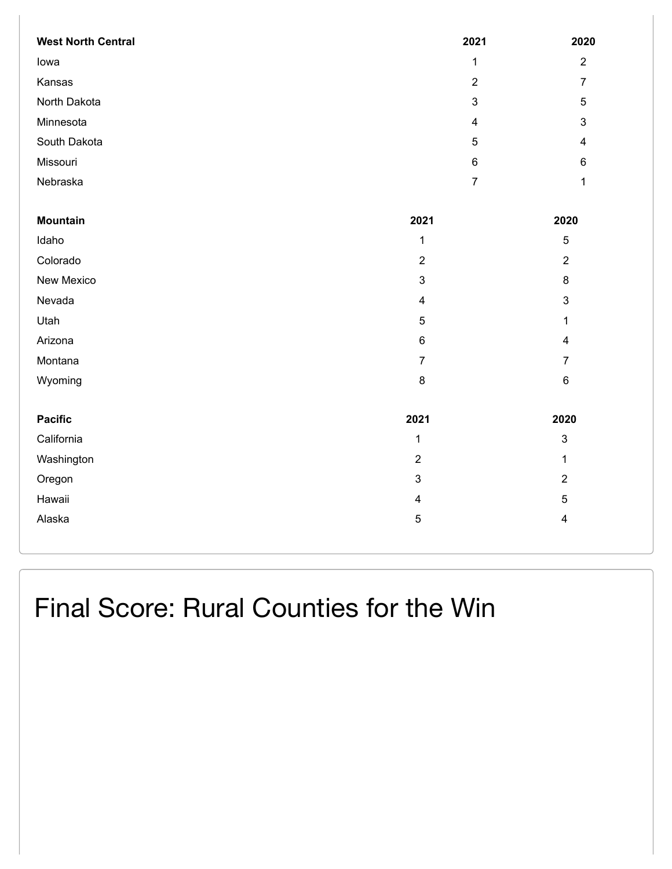| <b>West North Central</b> | 2021                    | 2020                    |
|---------------------------|-------------------------|-------------------------|
| lowa                      | $\mathbf{1}$            | $\overline{2}$          |
| Kansas                    | $\mathbf 2$             | $\overline{7}$          |
| North Dakota              | 3                       | 5                       |
| Minnesota                 | $\overline{4}$          | $\mathbf{3}$            |
| South Dakota              | 5                       | $\overline{4}$          |
| Missouri                  | $\,6$                   | $\,6\,$                 |
| Nebraska                  | $\overline{7}$          | 1                       |
|                           |                         |                         |
| <b>Mountain</b>           | 2021                    | 2020                    |
| Idaho                     | $\mathbf{1}$            | 5                       |
| Colorado                  | $\overline{2}$          | $\mathbf 2$             |
| New Mexico                | 3                       | $\bf 8$                 |
| Nevada                    | $\overline{\mathbf{4}}$ | $\mathfrak{S}$          |
| Utah                      | $\sqrt{5}$              | $\mathbf{1}$            |
| Arizona                   | 6                       | $\overline{\mathbf{4}}$ |
| Montana                   | $\overline{7}$          | $\overline{7}$          |
| Wyoming                   | 8                       | $\,6\,$                 |
|                           |                         |                         |
| <b>Pacific</b>            | 2021                    | 2020                    |
| California                | $\mathbf{1}$            | 3                       |
| Washington                | $\overline{2}$          | $\mathbf{1}$            |
| Oregon                    | 3                       | $\overline{2}$          |
| Hawaii                    | $\overline{\mathbf{4}}$ | 5                       |
| Alaska                    | 5                       | 4                       |
|                           |                         |                         |

Final Score: Rural Counties for the Win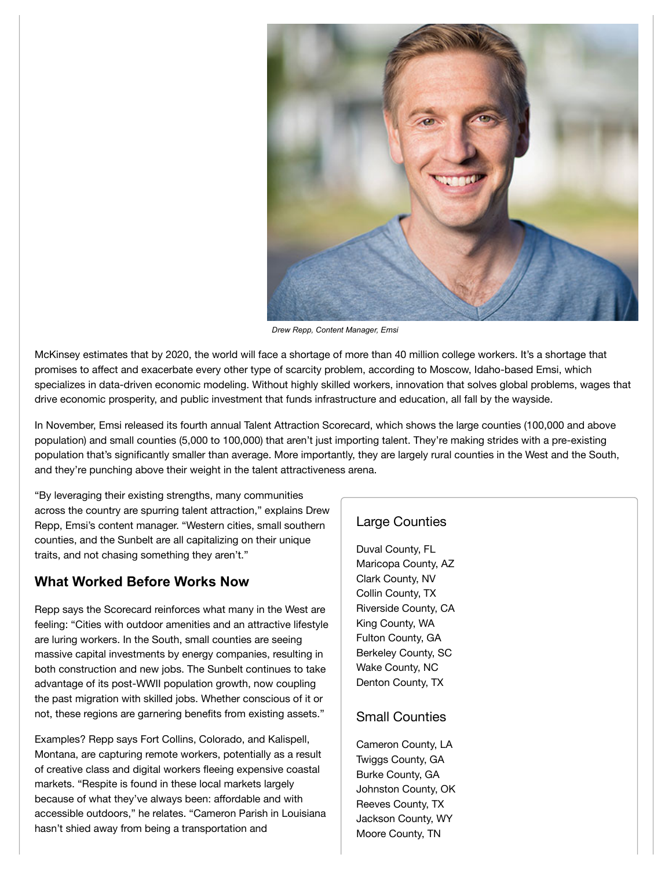

*Drew Repp, Content Manager, Emsi*

McKinsey estimates that by 2020, the world will face a shortage of more than 40 million college workers. It's a shortage that promises to affect and exacerbate every other type of scarcity problem, according to Moscow, Idaho-based Emsi, which specializes in data-driven economic modeling. Without highly skilled workers, innovation that solves global problems, wages that drive economic prosperity, and public investment that funds infrastructure and education, all fall by the wayside.

In November, Emsi released its fourth annual Talent Attraction Scorecard, which shows the large counties (100,000 and above population) and small counties (5,000 to 100,000) that aren't just importing talent. They're making strides with a pre-existing population that's significantly smaller than average. More importantly, they are largely rural counties in the West and the South, and they're punching above their weight in the talent attractiveness arena.

"By leveraging their existing strengths, many communities across the country are spurring talent attraction," explains Drew Repp, Emsi's content manager. "Western cities, small southern counties, and the Sunbelt are all capitalizing on their unique traits, and not chasing something they aren't."

### **What Worked Before Works Now**

Repp says the Scorecard reinforces what many in the West are feeling: "Cities with outdoor amenities and an attractive lifestyle are luring workers. In the South, small counties are seeing massive capital investments by energy companies, resulting in both construction and new jobs. The Sunbelt continues to take advantage of its post-WWII population growth, now coupling the past migration with skilled jobs. Whether conscious of it or not, these regions are garnering benefits from existing assets."

Examples? Repp says Fort Collins, Colorado, and Kalispell, Montana, are capturing remote workers, potentially as a result of creative class and digital workers fleeing expensive coastal markets. "Respite is found in these local markets largely because of what they've always been: affordable and with accessible outdoors," he relates. "Cameron Parish in Louisiana hasn't shied away from being a transportation and

### Large Counties

Duval County, FL Maricopa County, AZ Clark County, NV Collin County, TX Riverside County, CA King County, WA Fulton County, GA Berkeley County, SC Wake County, NC Denton County, TX

### Small Counties

Cameron County, LA Twiggs County, GA Burke County, GA Johnston County, OK Reeves County, TX Jackson County, WY Moore County, TN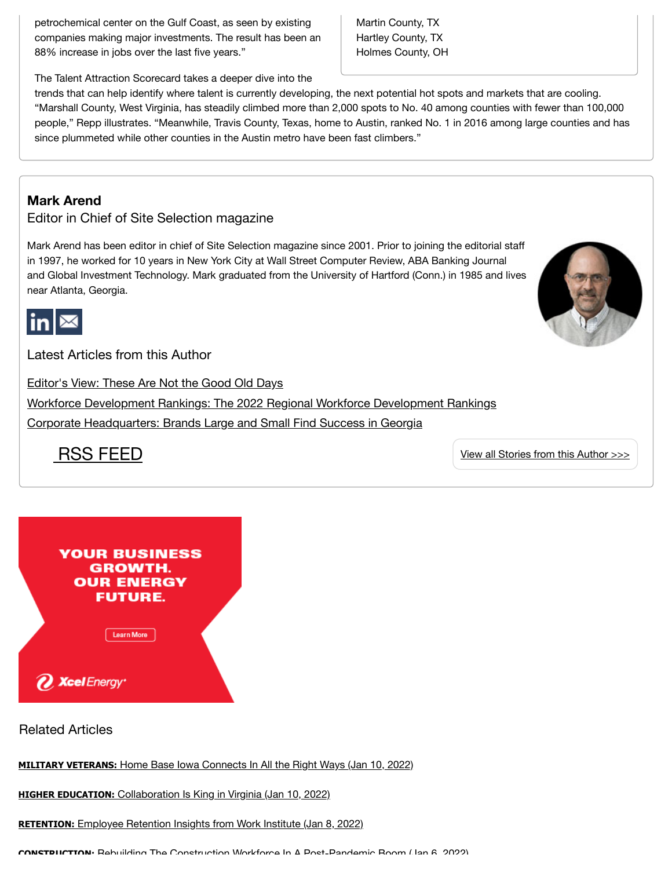petrochemical center on the Gulf Coast, as seen by existing companies making major investments. The result has been an 88% increase in jobs over the last five years."

Martin County, TX Hartley County, TX Holmes County, OH

The Talent Attraction Scorecard takes a deeper dive into the

trends that can help identify where talent is currently developing, the next potential hot spots and markets that are cooling. "Marshall County, West Virginia, has steadily climbed more than 2,000 spots to No. 40 among counties with fewer than 100,000 people," Repp illustrates. "Meanwhile, Travis County, Texas, home to Austin, ranked No. 1 in 2016 among large counties and has since plummeted while other counties in the Austin metro have been fast climbers."

### **Mark Arend**

Editor in Chief of Site Selection magazine

Mark Arend has been editor in chief of Site Selection magazine since 2001. Prior to joining the editorial staff in 1997, he worked for 10 years in New York City at Wall Street Computer Review, ABA Banking Journal and Global Investment Technology. Mark graduated from the University of Hartford (Conn.) in 1985 and lives near Atlanta, Georgia.



Latest Articles from this Author

[Editor's View:](https://siteselection.com/issues/2022/jan/these-are-not-the-good-old-days.cfm) These Are Not the Good Old Days

Workforce Development Rankings: The 2022 Regional Workforce [Development](https://siteselection.com/issues/2022/jan/workforce-development-rankings-2022.cfm) Rankings

Corporate [Headquarters:](https://siteselection.com/cc/georgia/2021/brands-large-and-small-find-success-in-georgia.cfm) Brands Large and Small Find Success in Georgia



RSS [FEED](https://siteselection.com/mark-arend.cfm?xml=Mark%20Arend%20RSS%20Reed,RSS2.0) View all [Stories from](https://siteselection.com/mark-arend.cfm) this Author >>>



Related Articles

**[MILITARY VETERANS:](https://siteselection.com/cc/workforce2021/2022/home-base-iowa-connects-in-all-the-right-ways.cfm?utm_source=Sidebar&utm_medium=Web&utm_campaign=Optimize&utm_content=RA)** Home Base Iowa Connects In All the Right Ways (Jan 10, 2022)

**[HIGHER EDUCATION:](https://siteselection.com/cc/workforce2021/2022/collaboration-is-king-in-virginia.cfm?utm_source=Sidebar&utm_medium=Web&utm_campaign=Optimize&utm_content=RA)** Collaboration Is King in Virginia (Jan 10, 2022)

**RETENTION:** Employee Retention [Insights from](https://siteselection.com/cc/workforce2021/2022/employee-retention-insights-from-work-institute.cfm?utm_source=Sidebar&utm_medium=Web&utm_campaign=Optimize&utm_content=RA) Work Institute (Jan 8, 2022)

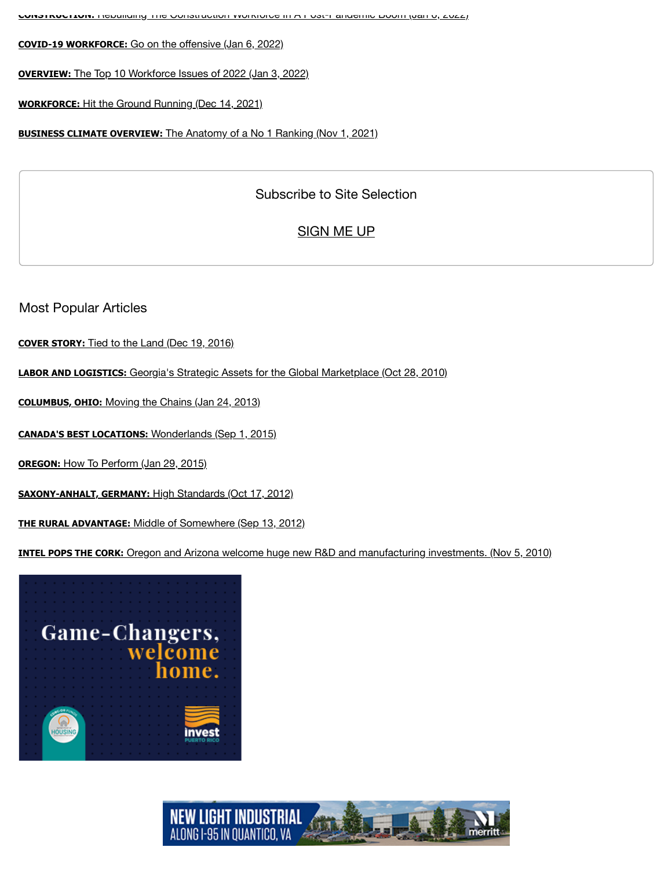**CONSTRUCTION:** Rebuilding The Construction Workforce In A [Post-Pandemic](https://siteselection.com/cc/workforce2021/2022/rebuilding-the-construction-workforce-in-a-post-pandemic-boom.cfm?utm_source=Sidebar&utm_medium=Web&utm_campaign=Optimize&utm_content=RA) Boom (Jan 6, 2022)

**[COVID-19 WORKFORCE:](https://siteselection.com/cc/workforce2021/2022/go-on-the-offensive.cfm?utm_source=Sidebar&utm_medium=Web&utm_campaign=Optimize&utm_content=RA)** Go on the offensive (Jan 6, 2022)

**OVERVIEW:** The Top 10 [Workforce](https://siteselection.com/cc/workforce2021/2022/the-top-10-workforce-issues-of-2022.cfm?utm_source=Sidebar&utm_medium=Web&utm_campaign=Optimize&utm_content=RA) Issues of 2022 (Jan 3, 2022)

**[WORKFORCE:](https://siteselection.com/cc/georgia/2021/hit-the-ground-running.cfm?utm_source=Sidebar&utm_medium=Web&utm_campaign=Optimize&utm_content=RA)** Hit the Ground Running (Dec 14, 2021)

**[BUSINESS CLIMATE OVERVIEW:](https://siteselection.com/cc/washington/2021/the-anatomy-of-a-no-1-ranking.cfm?utm_source=Sidebar&utm_medium=Web&utm_campaign=Optimize&utm_content=RA)** The Anatomy of a No 1 Ranking (Nov 1, 2021)

## Subscribe to Site Selection

# [SIGN](https://siteselection.com/newsletter-subscription.cfm) ME UP

Most Popular Articles

**[COVER STORY:](https://siteselection.com/cc/idaho/2017/cover-story.cfm?utm_source=Sidebar&utm_medium=Web&utm_campaign=Optimize&utm_content=MP)** Tied to the Land (Dec 19, 2016)

**[LABOR AND LOGISTICS:](https://siteselection.com/issues/2010/sep/Labor-and-Logistics.cfm?utm_source=Sidebar&utm_medium=Web&utm_campaign=Optimize&utm_content=MP)** Georgia's Strategic Assets for the Global Marketplace (Oct 28, 2010)

**[COLUMBUS, OHIO:](https://siteselection.com/issues/2013/jan/columbus.cfm?utm_source=Sidebar&utm_medium=Web&utm_campaign=Optimize&utm_content=MP)** Moving the Chains (Jan 24, 2013)

**[CANADA'S BEST LOCATIONS:](https://siteselection.com/issues/2015/sep/canadas-best-locations.cfm?utm_source=Sidebar&utm_medium=Web&utm_campaign=Optimize&utm_content=MP)** Wonderlands (Sep 1, 2015)

**OREGON:** How To [Perform](https://siteselection.com/issues/2015/jan/oregon.cfm?utm_source=Sidebar&utm_medium=Web&utm_campaign=Optimize&utm_content=MP) (Jan 29, 2015)

**[SAXONY-ANHALT, GERMANY:](https://siteselection.com/ssinternational/2012/oct/ip-saxony-anhalt.cfm?utm_source=Sidebar&utm_medium=Web&utm_campaign=Optimize&utm_content=MP)** High Standards (Oct 17, 2012)

**[THE RURAL ADVANTAGE:](https://siteselection.com/issues/2012/sep/rural-advantage.cfm?utm_source=Sidebar&utm_medium=Web&utm_campaign=Optimize&utm_content=MP)** Middle of Somewhere (Sep 13, 2012)

**[INTEL POPS THE CORK:](https://siteselection.com/ssinsider/bbdeal/Intel-Pops-the-Cork.cfm?utm_source=Sidebar&utm_medium=Web&utm_campaign=Optimize&utm_content=MP)** Oregon and Arizona welcome huge new R&D and manufacturing investments. (Nov 5, 2010)